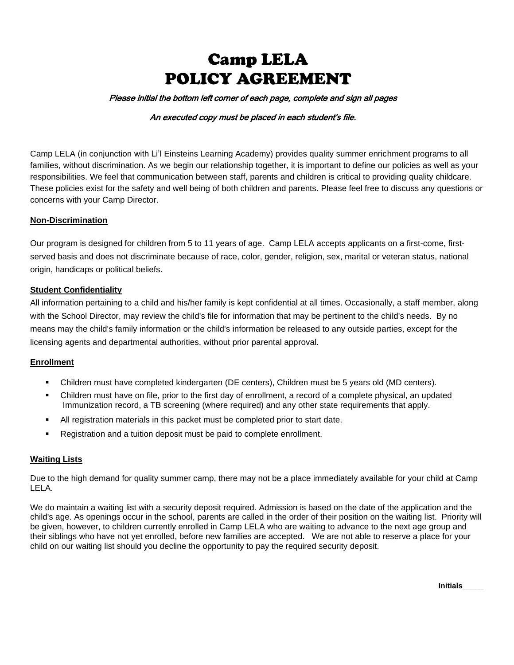# Camp LELA POLICY AGREEMENT

#### Please initial the bottom left corner of each page, complete and sign all pages

#### An executed copy must be placed in each student's file.

Camp LELA (in conjunction with Li'l Einsteins Learning Academy) provides quality summer enrichment programs to all families, without discrimination. As we begin our relationship together, it is important to define our policies as well as your responsibilities. We feel that communication between staff, parents and children is critical to providing quality childcare. These policies exist for the safety and well being of both children and parents. Please feel free to discuss any questions or concerns with your Camp Director.

#### **Non-Discrimination**

Our program is designed for children from 5 to 11 years of age. Camp LELA accepts applicants on a first-come, firstserved basis and does not discriminate because of race, color, gender, religion, sex, marital or veteran status, national origin, handicaps or political beliefs.

#### **Student Confidentiality**

All information pertaining to a child and his/her family is kept confidential at all times. Occasionally, a staff member, along with the School Director, may review the child's file for information that may be pertinent to the child's needs. By no means may the child's family information or the child's information be released to any outside parties, except for the licensing agents and departmental authorities, without prior parental approval.

#### **Enrollment**

- Children must have completed kindergarten (DE centers), Children must be 5 years old (MD centers).
- Children must have on file, prior to the first day of enrollment, a record of a complete physical, an updated Immunization record, a TB screening (where required) and any other state requirements that apply.
- All registration materials in this packet must be completed prior to start date.
- Registration and a tuition deposit must be paid to complete enrollment.

#### **Waiting Lists**

Due to the high demand for quality summer camp, there may not be a place immediately available for your child at Camp LELA.

We do maintain a waiting list with a security deposit required. Admission is based on the date of the application and the child's age. As openings occur in the school, parents are called in the order of their position on the waiting list. Priority will be given, however, to children currently enrolled in Camp LELA who are waiting to advance to the next age group and their siblings who have not yet enrolled, before new families are accepted. We are not able to reserve a place for your child on our waiting list should you decline the opportunity to pay the required security deposit.

**Initials\_\_\_\_\_**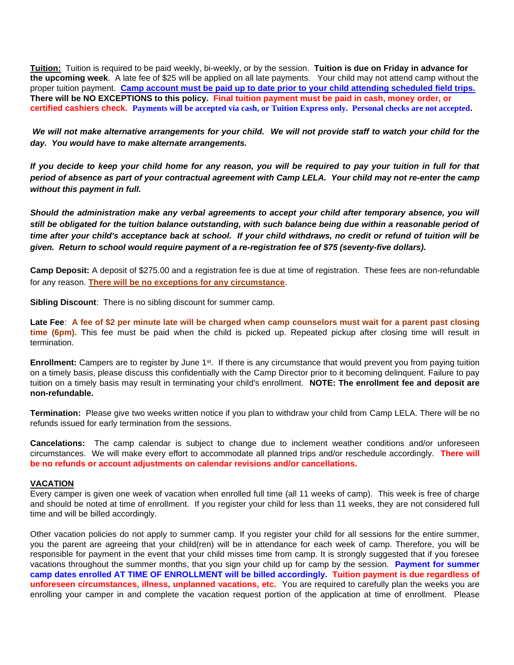**Tuition:** Tuition is required to be paid weekly, bi-weekly, or by the session. **Tuition is due on Friday in advance for the upcoming week**. A late fee of \$25 will be applied on all late payments. Your child may not attend camp without the proper tuition payment. **Camp account must be paid up to date prior to your child attending scheduled field trips. There will be NO EXCEPTIONS to this policy. Final tuition payment must be paid in cash, money order, or certified cashiers check. Payments will be accepted via cash, or Tuition Express only. Personal checks are not accepted.** 

*We will not make alternative arrangements for your child. We will not provide staff to watch your child for the day. You would have to make alternate arrangements.* 

*If you decide to keep your child home for any reason, you will be required to pay your tuition in full for that period of absence as part of your contractual agreement with Camp LELA. Your child may not re-enter the camp without this payment in full.* 

*Should the administration make any verbal agreements to accept your child after temporary absence, you will still be obligated for the tuition balance outstanding, with such balance being due within a reasonable period of time after your child's acceptance back at school. If your child withdraws, no credit or refund of tuition will be given. Return to school would require payment of a re-registration fee of \$75 (seventy-five dollars).* 

**Camp Deposit:** A deposit of \$275.00 and a registration fee is due at time of registration. These fees are non-refundable for any reason. **There will be no exceptions for any circumstance**.

**Sibling Discount**: There is no sibling discount for summer camp.

**Late Fee**: **A fee of \$2 per minute late will be charged when camp counselors must wait for a parent past closing time (6pm).** This fee must be paid when the child is picked up. Repeated pickup after closing time will result in termination.

Enrollment: Campers are to register by June 1<sup>st</sup>. If there is any circumstance that would prevent you from paying tuition on a timely basis, please discuss this confidentially with the Camp Director prior to it becoming delinquent. Failure to pay tuition on a timely basis may result in terminating your child's enrollment. **NOTE: The enrollment fee and deposit are non-refundable.**

**Termination:** Please give two weeks written notice if you plan to withdraw your child from Camp LELA. There will be no refunds issued for early termination from the sessions.

**Cancelations:** The camp calendar is subject to change due to inclement weather conditions and/or unforeseen circumstances. We will make every effort to accommodate all planned trips and/or reschedule accordingly. **There will be no refunds or account adjustments on calendar revisions and/or cancellations.** 

#### **VACATION**

Every camper is given one week of vacation when enrolled full time (all 11 weeks of camp). This week is free of charge and should be noted at time of enrollment. If you register your child for less than 11 weeks, they are not considered full time and will be billed accordingly.

Other vacation policies do not apply to summer camp. If you register your child for all sessions for the entire summer, you the parent are agreeing that your child(ren) will be in attendance for each week of camp. Therefore, you will be responsible for payment in the event that your child misses time from camp. It is strongly suggested that if you foresee vacations throughout the summer months, that you sign your child up for camp by the session. **Payment for summer camp dates enrolled AT TIME OF ENROLLMENT will be billed accordingly. Tuition payment is due regardless of unforeseen circumstances, illness, unplanned vacations, etc.** You are required to carefully plan the weeks you are enrolling your camper in and complete the vacation request portion of the application at time of enrollment. Please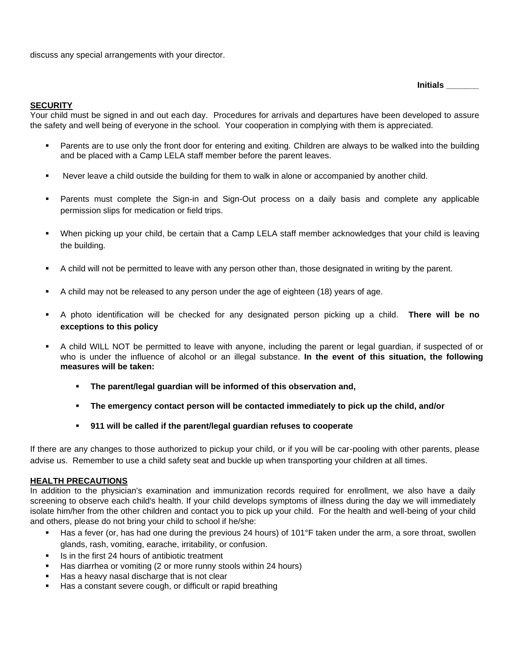discuss any special arrangements with your director.

**Initials \_\_\_\_\_\_\_**

#### **SECURITY**

Your child must be signed in and out each day. Procedures for arrivals and departures have been developed to assure the safety and well being of everyone in the school. Your cooperation in complying with them is appreciated.

- Parents are to use only the front door for entering and exiting. Children are always to be walked into the building and be placed with a Camp LELA staff member before the parent leaves.
- Never leave a child outside the building for them to walk in alone or accompanied by another child.
- **•** Parents must complete the Sign-in and Sign-Out process on a daily basis and complete any applicable permission slips for medication or field trips.
- When picking up your child, be certain that a Camp LELA staff member acknowledges that your child is leaving the building.
- A child will not be permitted to leave with any person other than, those designated in writing by the parent.
- A child may not be released to any person under the age of eighteen (18) years of age.
- A photo identification will be checked for any designated person picking up a child. **There will be no exceptions to this policy**
- A child WILL NOT be permitted to leave with anyone, including the parent or legal guardian, if suspected of or who is under the influence of alcohol or an illegal substance. **In the event of this situation, the following measures will be taken:**
	- **The parent/legal guardian will be informed of this observation and,**
	- **The emergency contact person will be contacted immediately to pick up the child, and/or**
	- **911 will be called if the parent/legal guardian refuses to cooperate**

If there are any changes to those authorized to pickup your child, or if you will be car-pooling with other parents, please advise us. Remember to use a child safety seat and buckle up when transporting your children at all times.

#### **HEALTH PRECAUTIONS**

In addition to the physician's examination and immunization records required for enrollment, we also have a daily screening to observe each child's health. If your child develops symptoms of illness during the day we will immediately isolate him/her from the other children and contact you to pick up your child. For the health and well-being of your child and others, please do not bring your child to school if he/she:

- Has a fever (or, has had one during the previous 24 hours) of 101°F taken under the arm, a sore throat, swollen glands, rash, vomiting, earache, irritability, or confusion.
- Is in the first 24 hours of antibiotic treatment
- Has diarrhea or vomiting (2 or more runny stools within 24 hours)
- Has a heavy nasal discharge that is not clear
- Has a constant severe cough, or difficult or rapid breathing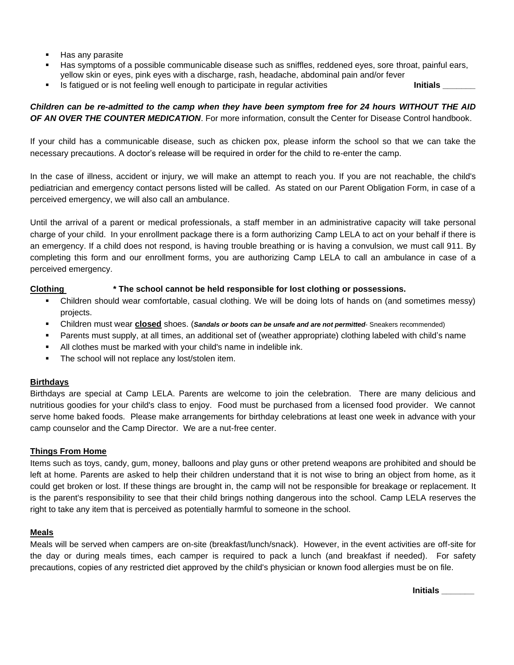- Has any parasite
- Has symptoms of a possible communicable disease such as sniffles, reddened eyes, sore throat, painful ears, yellow skin or eyes, pink eyes with a discharge, rash, headache, abdominal pain and/or fever
- Is fatigued or is not feeling well enough to participate in regular activities **Initials Initials**

# *Children can be re-admitted to the camp when they have been symptom free for 24 hours WITHOUT THE AID OF AN OVER THE COUNTER MEDICATION*. For more information, consult the Center for Disease Control handbook.

If your child has a communicable disease, such as chicken pox, please inform the school so that we can take the necessary precautions. A doctor's release will be required in order for the child to re-enter the camp.

In the case of illness, accident or injury, we will make an attempt to reach you. If you are not reachable, the child's pediatrician and emergency contact persons listed will be called. As stated on our Parent Obligation Form, in case of a perceived emergency, we will also call an ambulance.

Until the arrival of a parent or medical professionals, a staff member in an administrative capacity will take personal charge of your child. In your enrollment package there is a form authorizing Camp LELA to act on your behalf if there is an emergency. If a child does not respond, is having trouble breathing or is having a convulsion, we must call 911. By completing this form and our enrollment forms, you are authorizing Camp LELA to call an ambulance in case of a perceived emergency.

# **Clothing \* The school cannot be held responsible for lost clothing or possessions.**

- Children should wear comfortable, casual clothing. We will be doing lots of hands on (and sometimes messy) projects.
- Children must wear **closed** shoes. (*Sandals or boots can be unsafe and are not permitted* Sneakers recommended)
- Parents must supply, at all times, an additional set of (weather appropriate) clothing labeled with child's name
- All clothes must be marked with your child's name in indelible ink.
- The school will not replace any lost/stolen item.

# **Birthdays**

Birthdays are special at Camp LELA. Parents are welcome to join the celebration. There are many delicious and nutritious goodies for your child's class to enjoy. Food must be purchased from a licensed food provider. We cannot serve home baked foods. Please make arrangements for birthday celebrations at least one week in advance with your camp counselor and the Camp Director. We are a nut-free center.

# **Things From Home**

Items such as toys, candy, gum, money, balloons and play guns or other pretend weapons are prohibited and should be left at home. Parents are asked to help their children understand that it is not wise to bring an object from home, as it could get broken or lost. If these things are brought in, the camp will not be responsible for breakage or replacement. It is the parent's responsibility to see that their child brings nothing dangerous into the school. Camp LELA reserves the right to take any item that is perceived as potentially harmful to someone in the school.

# **Meals**

Meals will be served when campers are on-site (breakfast/lunch/snack). However, in the event activities are off-site for the day or during meals times, each camper is required to pack a lunch (and breakfast if needed). For safety precautions, copies of any restricted diet approved by the child's physician or known food allergies must be on file.

 **Initials \_\_\_\_\_\_\_**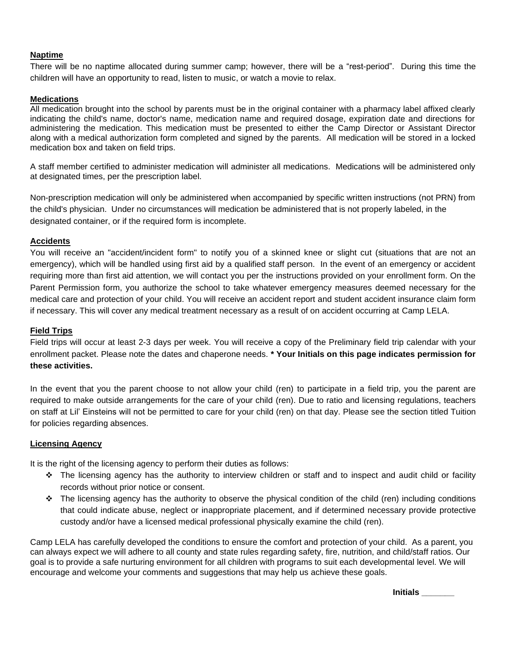# **Naptime**

There will be no naptime allocated during summer camp; however, there will be a "rest-period". During this time the children will have an opportunity to read, listen to music, or watch a movie to relax.

# **Medications**

All medication brought into the school by parents must be in the original container with a pharmacy label affixed clearly indicating the child's name, doctor's name, medication name and required dosage, expiration date and directions for administering the medication. This medication must be presented to either the Camp Director or Assistant Director along with a medical authorization form completed and signed by the parents. All medication will be stored in a locked medication box and taken on field trips.

A staff member certified to administer medication will administer all medications. Medications will be administered only at designated times, per the prescription label.

Non-prescription medication will only be administered when accompanied by specific written instructions (not PRN) from the child's physician. Under no circumstances will medication be administered that is not properly labeled, in the designated container, or if the required form is incomplete.

#### **Accidents**

You will receive an "accident/incident form" to notify you of a skinned knee or slight cut (situations that are not an emergency), which will be handled using first aid by a qualified staff person. In the event of an emergency or accident requiring more than first aid attention, we will contact you per the instructions provided on your enrollment form. On the Parent Permission form, you authorize the school to take whatever emergency measures deemed necessary for the medical care and protection of your child. You will receive an accident report and student accident insurance claim form if necessary. This will cover any medical treatment necessary as a result of on accident occurring at Camp LELA.

#### **Field Trips**

Field trips will occur at least 2-3 days per week. You will receive a copy of the Preliminary field trip calendar with your enrollment packet. Please note the dates and chaperone needs. **\* Your Initials on this page indicates permission for these activities.**

In the event that you the parent choose to not allow your child (ren) to participate in a field trip, you the parent are required to make outside arrangements for the care of your child (ren). Due to ratio and licensing regulations, teachers on staff at Lil' Einsteins will not be permitted to care for your child (ren) on that day. Please see the section titled Tuition for policies regarding absences.

# **Licensing Agency**

It is the right of the licensing agency to perform their duties as follows:

- ❖ The licensing agency has the authority to interview children or staff and to inspect and audit child or facility records without prior notice or consent.
- ❖ The licensing agency has the authority to observe the physical condition of the child (ren) including conditions that could indicate abuse, neglect or inappropriate placement, and if determined necessary provide protective custody and/or have a licensed medical professional physically examine the child (ren).

Camp LELA has carefully developed the conditions to ensure the comfort and protection of your child. As a parent, you can always expect we will adhere to all county and state rules regarding safety, fire, nutrition, and child/staff ratios. Our goal is to provide a safe nurturing environment for all children with programs to suit each developmental level. We will encourage and welcome your comments and suggestions that may help us achieve these goals.

**Initials \_\_\_\_\_\_\_**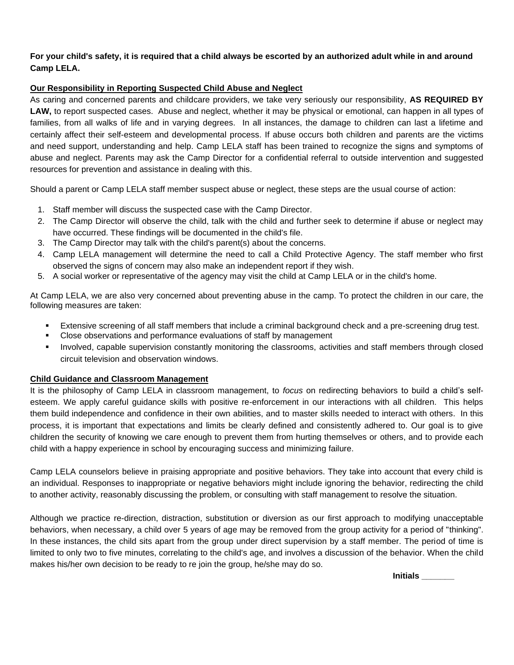# **For your child's safety, it is required that a child always be escorted by an authorized adult while in and around Camp LELA.**

# **Our Responsibility in Reporting Suspected Child Abuse and Neglect**

As caring and concerned parents and childcare providers, we take very seriously our responsibility, **AS REQUIRED BY LAW,** to report suspected cases. Abuse and neglect, whether it may be physical or emotional, can happen in all types of families, from all walks of life and in varying degrees. In all instances, the damage to children can last a lifetime and certainly affect their self-esteem and developmental process. If abuse occurs both children and parents are the victims and need support, understanding and help. Camp LELA staff has been trained to recognize the signs and symptoms of abuse and neglect. Parents may ask the Camp Director for a confidential referral to outside intervention and suggested resources for prevention and assistance in dealing with this.

Should a parent or Camp LELA staff member suspect abuse or neglect, these steps are the usual course of action:

- 1. Staff member will discuss the suspected case with the Camp Director.
- 2. The Camp Director will observe the child, talk with the child and further seek to determine if abuse or neglect may have occurred. These findings will be documented in the child's file.
- 3. The Camp Director may talk with the child's parent(s) about the concerns.
- 4. Camp LELA management will determine the need to call a Child Protective Agency. The staff member who first observed the signs of concern may also make an independent report if they wish.
- 5. A social worker or representative of the agency may visit the child at Camp LELA or in the child's home.

At Camp LELA, we are also very concerned about preventing abuse in the camp. To protect the children in our care, the following measures are taken:

- **Extensive screening of all staff members that include a criminal background check and a pre-screening drug test.**
- Close observations and performance evaluations of staff by management
- Involved, capable supervision constantly monitoring the classrooms, activities and staff members through closed circuit television and observation windows.

# **Child Guidance and Classroom Management**

It is the philosophy of Camp LELA in classroom management, to *focus* on redirecting behaviors to build a child's selfesteem. We apply careful guidance skills with positive re-enforcement in our interactions with all children. This helps them build independence and confidence in their own abilities, and to master skills needed to interact with others. In this process, it is important that expectations and limits be clearly defined and consistently adhered to. Our goal is to give children the security of knowing we care enough to prevent them from hurting themselves or others, and to provide each child with a happy experience in school by encouraging success and minimizing failure.

Camp LELA counselors believe in praising appropriate and positive behaviors. They take into account that every child is an individual. Responses to inappropriate or negative behaviors might include ignoring the behavior, redirecting the child to another activity, reasonably discussing the problem, or consulting with staff management to resolve the situation.

Although we practice re-direction, distraction, substitution or diversion as our first approach to modifying unacceptable behaviors, when necessary, a child over 5 years of age may be removed from the group activity for a period of "thinking". In these instances, the child sits apart from the group under direct supervision by a staff member. The period of time is limited to only two to five minutes, correlating to the child's age, and involves a discussion of the behavior. When the child makes his/her own decision to be ready to re join the group, he/she may do so.

**Initials \_\_\_\_\_\_\_**